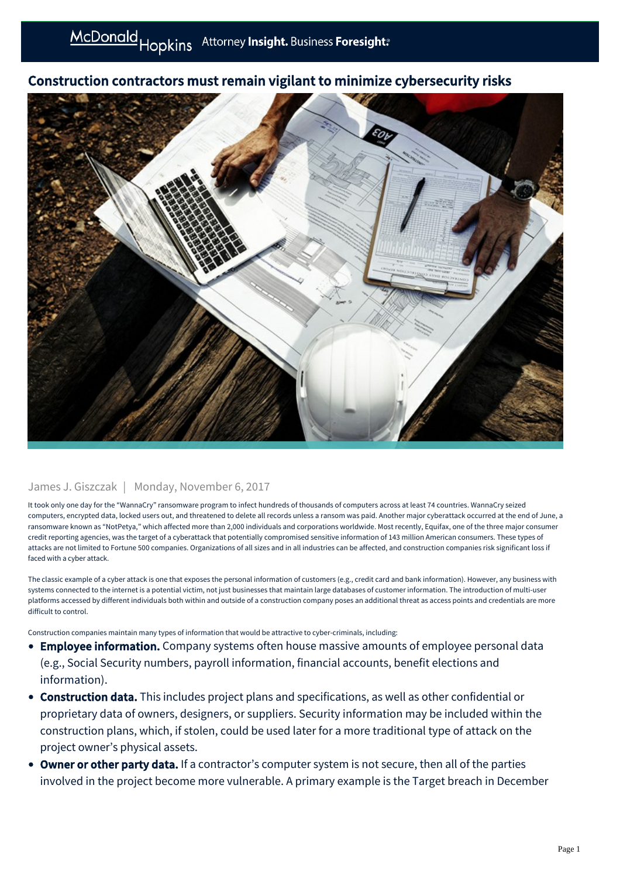## Construction contractors must remain vigilant to minimize cybersecurity risks

## James J. Giszczak | Monday, November 6, 2017

It took only one day for the "WannaCry" ransomware program to infect hundreds of thousands of computers across at least 74 countries. WannaCry seized computers, encrypted data, locked users out, and threatened to delete all records unless a ransom was paid. Another major cyberattack occurred at the end of June, a ransomware known as "NotPetya," which affected more than 2,000 individuals and corporations worldwide. Most recently, Equifax, one of the three major consumer credit reporting agencies, was the target of a cyberattack that potentially compromised sensitive information of 143 million American consumers. These types of attacks are not limited to Fortune 500 companies. Organizations of all sizes and in all industries can be affected, and construction companies risk significant loss if faced with a cyber attack.

The classic example of a cyber attack is one that exposes the personal information of customers (e.g., credit card and bank information). However, any business with systems connected to the internet is a potential victim, not just businesses that maintain large databases of customer information. The introduction of multi-user platforms accessed by different individuals both within and outside of a construction company poses an additional threat as access points and credentials are more difficult to control.

Construction companies maintain many types of information that would be attractive to cyber-criminals, including:

- **Employee information.** Company systems often house massive amounts of employee personal data (e.g., Social Security numbers, payroll information, financial accounts, benefit elections and information).
- Construction data. This includes project plans and specifications, as well as other confidential or proprietary data of owners, designers, or suppliers. Security information may be included within the construction plans, which, if stolen, could be used later for a more traditional type of attack on the project owner's physical assets.
- Owner or other party data. If a contractor's computer system is not secure, then all of the parties involved in the project become more vulnerable. A primary example is the Target breach in December